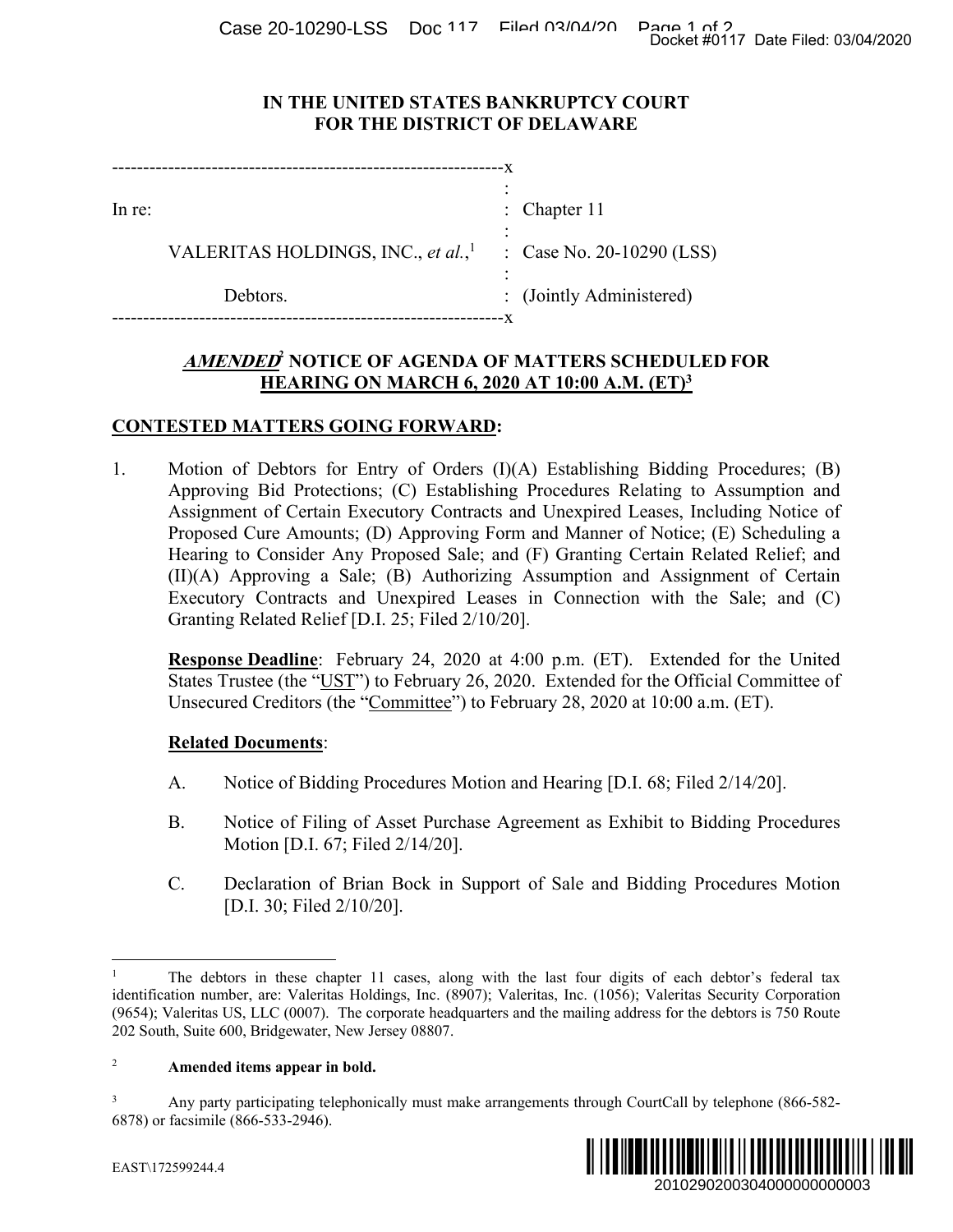Case 20-10290-LSS Doc 117 Filed 03/04/20 Page 1 of 2<br>Docket #0117 Date Filed: 03/04/2020

### **IN THE UNITED STATES BANKRUPTCY COURT FOR THE DISTRICT OF DELAWARE**

| $ln re$ : |                                                | : Chapter $11$            |
|-----------|------------------------------------------------|---------------------------|
|           | VALERITAS HOLDINGS, INC., et al., <sup>1</sup> | : Case No. 20-10290 (LSS) |
|           | Debtors.                                       | : (Jointly Administered)  |
|           |                                                |                           |

# **AMENDED<sup>2</sup> NOTICE OF AGENDA OF MATTERS SCHEDULED FOR HEARING ON MARCH 6, 2020 AT 10:00 A.M. (ET)3**

## **CONTESTED MATTERS GOING FORWARD:**

1. Motion of Debtors for Entry of Orders (I)(A) Establishing Bidding Procedures; (B) Approving Bid Protections; (C) Establishing Procedures Relating to Assumption and Assignment of Certain Executory Contracts and Unexpired Leases, Including Notice of Proposed Cure Amounts; (D) Approving Form and Manner of Notice; (E) Scheduling a Hearing to Consider Any Proposed Sale; and (F) Granting Certain Related Relief; and (II)(A) Approving a Sale; (B) Authorizing Assumption and Assignment of Certain Executory Contracts and Unexpired Leases in Connection with the Sale; and (C) Granting Related Relief [D.I. 25; Filed 2/10/20]. Docket #0117 Date Filed: 03/04/2020<br>
2010 (LSS)<br>
2010 (LSS)<br>
2010 (LSS)<br>
2010 (LSS)<br>
2010 (ET)<sup>3</sup><br>
2010 (BT)<br>
2010 (BT) Assumption and<br>
2010 (BS) Notice; (E) Scheduling a<br>
2010 (Consumption of Certain<br>
2010 (CH)<br>
2010 (BT

**Response Deadline**: February 24, 2020 at 4:00 p.m. (ET). Extended for the United States Trustee (the "UST") to February 26, 2020. Extended for the Official Committee of Unsecured Creditors (the "Committee") to February 28, 2020 at 10:00 a.m. (ET).

### **Related Documents**:

- A. Notice of Bidding Procedures Motion and Hearing [D.I. 68; Filed 2/14/20].
- B. Notice of Filing of Asset Purchase Agreement as Exhibit to Bidding Procedures Motion [D.I. 67; Filed 2/14/20].
- C. Declaration of Brian Bock in Support of Sale and Bidding Procedures Motion [D.I. 30; Filed 2/10/20].

### <sup>2</sup> **Amended items appear in bold.**

<sup>3</sup> Any party participating telephonically must make arrangements through CourtCall by telephone (866-582- 6878) or facsimile (866-533-2946).



 $\overline{a}$ 

<sup>1</sup> The debtors in these chapter 11 cases, along with the last four digits of each debtor's federal tax identification number, are: Valeritas Holdings, Inc. (8907); Valeritas, Inc. (1056); Valeritas Security Corporation (9654); Valeritas US, LLC (0007). The corporate headquarters and the mailing address for the debtors is 750 Route 202 South, Suite 600, Bridgewater, New Jersey 08807.